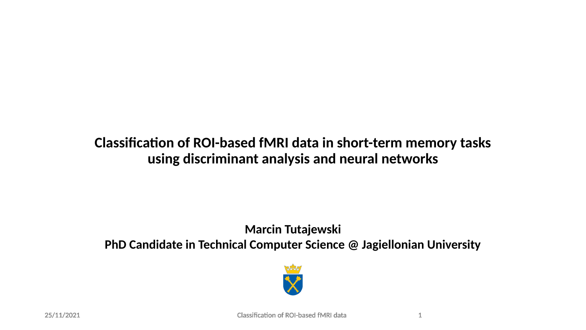#### **Classification of ROI-based fMRI data in short-term memory tasks using discriminant analysis and neural networks**

#### **Marcin Tutajewski PhD Candidate in Technical Computer Science @ Jagiellonian University**

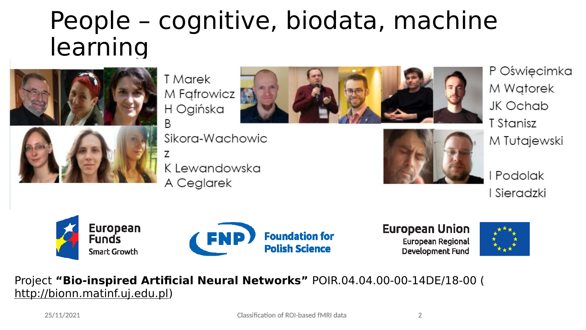#### People – cognitive, biodata, machine learning



**T** Marek M Fafrowicz H Ogińska B

Sikora-Wachowic

K Lewandowska A Ceglarek





P Oświęcimka M Wgtorek JK Ochab T Stanisz M Tutajewski

Podolak Sieradzki





**European Union** European Regional **Development Fund** 



#### Project **"Bio-inspired Artificial Neural Networks"** POIR.04.04.00-00-14DE/18-00 ( [http://bionn.matinf.uj.edu.pl\)](http://bionn.matinf.uj.edu.pl/)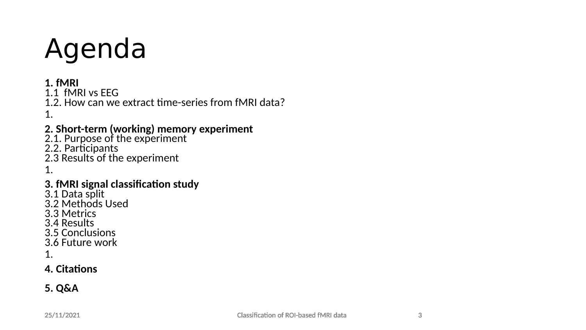# Agenda

#### **1. fMRI**

1.1 fMRI vs EEG

1.2. How can we extract time-series from fMRI data? 1.

#### **2. Short-term (working) memory experiment**

2.1. Purpose of the experiment 2.2. Participants 2.3 Results of the experiment 1.

#### **3. fMRI signal classification study**

3.1 Data split 3.2 Methods Used 3.3 Metrics 3.4 Results 3.5 Conclusions 3.6 Future work

1.

#### **4. Citations**

#### **5. Q&A**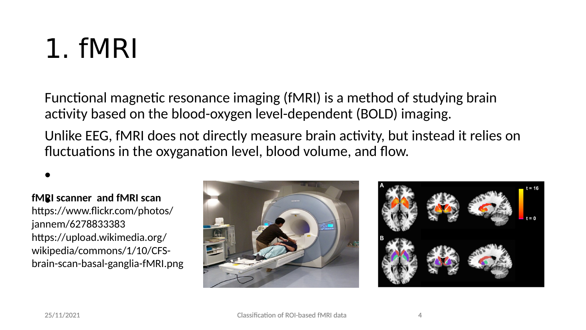### 1. fMRI

Functional magnetic resonance imaging (fMRI) is a method of studying brain activity based on the blood-oxygen level-dependent (BOLD) imaging.

Unlike EEG, fMRI does not directly measure brain activity, but instead it relies on fluctuations in the oxyganation level, blood volume, and flow.

•

#### • **fMRI scanner and fMRI scan**

https://www.flickr.com/photos/ jannem/6278833383 https://upload.wikimedia.org/ wikipedia/commons/1/10/CFSbrain-scan-basal-ganglia-fMRI.png



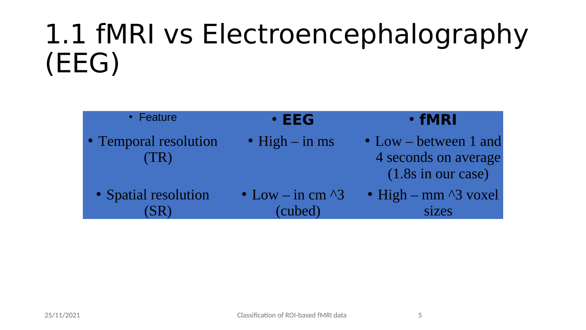#### 1.1 fMRI vs Electroencephalography (EEG)

| • Feature                     | $\cdot$ EEG                         | · fMRI                                                                        |  |  |
|-------------------------------|-------------------------------------|-------------------------------------------------------------------------------|--|--|
| • Temporal resolution<br>(TR) | $\bullet$ High $-$ in ms            | $\bullet$ Low – between 1 and<br>4 seconds on average<br>$(1.8s$ in our case) |  |  |
| • Spatial resolution          | • Low – in cm $\sqrt{3}$<br>(cubed) | • High – mm $\land$ 3 voxel<br>sizes                                          |  |  |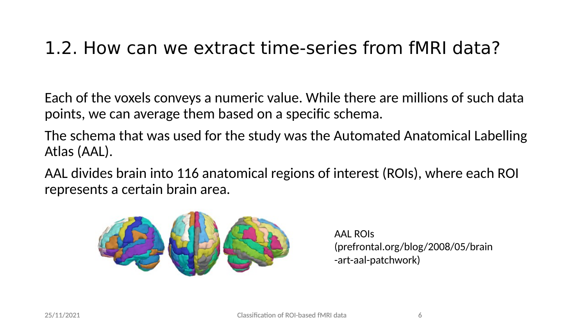#### 1.2. How can we extract time-series from fMRI data?

Each of the voxels conveys a numeric value. While there are millions of such data points, we can average them based on a specific schema.

The schema that was used for the study was the Automated Anatomical Labelling Atlas (AAL).

AAL divides brain into 116 anatomical regions of interest (ROIs), where each ROI represents a certain brain area.



AAL ROIs (prefrontal.org/blog/2008/05/brain -art-aal-patchwork)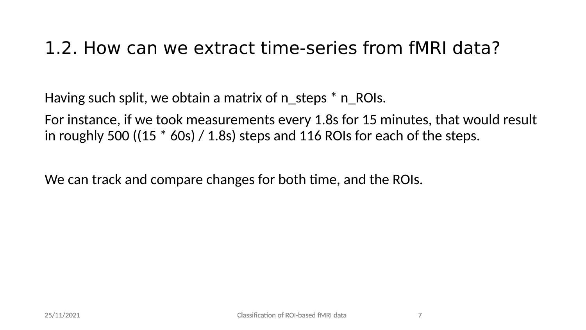#### 1.2. How can we extract time-series from fMRI data?

Having such split, we obtain a matrix of n\_steps  $*$  n\_ROIs.

For instance, if we took measurements every 1.8s for 15 minutes, that would result in roughly 500 ((15  $*$  60s) / 1.8s) steps and 116 ROIs for each of the steps.

We can track and compare changes for both time, and the ROIs.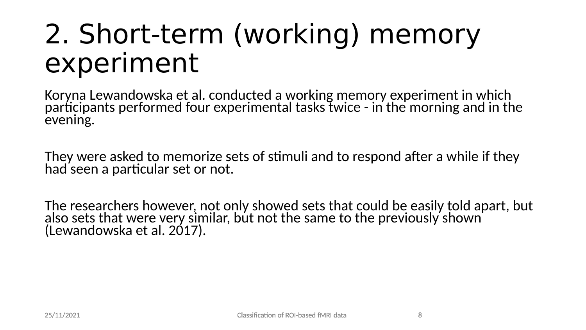#### 2. Short-term (working) memory experiment

Koryna Lewandowska et al. conducted a working memory experiment in which participants performed four experimental tasks twice - in the morning and in the evening.

They were asked to memorize sets of stimuli and to respond after a while if they had seen a particular set or not.

The researchers however, not only showed sets that could be easily told apart, but also sets that were very similar, but not the same to the previously shown (Lewandowska et al. 2017).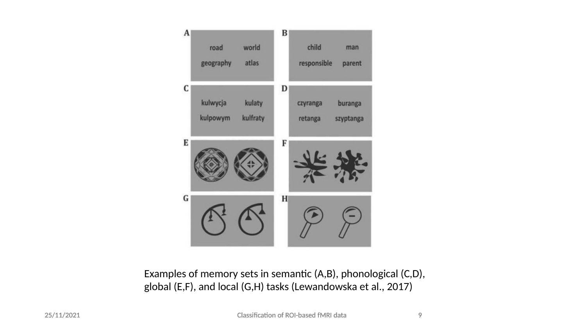

Examples of memory sets in semantic (A,B), phonological (C,D), global (E,F), and local (G,H) tasks (Lewandowska et al., 2017)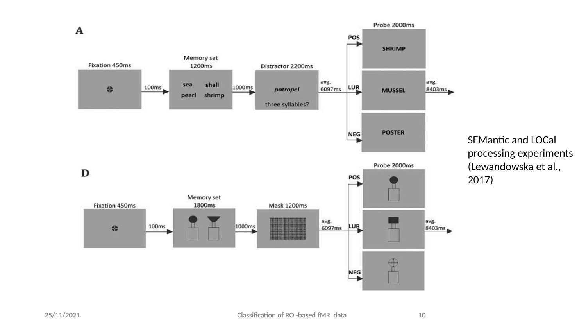

SEMantic and LOCal processing experiments (Lewandowska et al., 2017)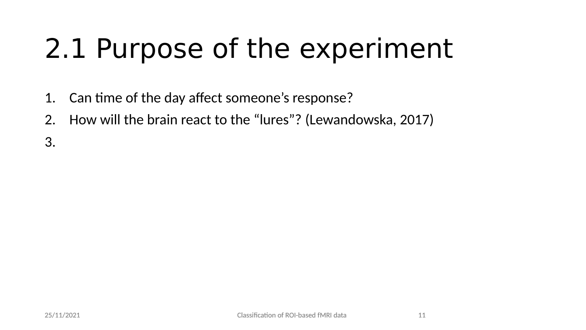## 2.1 Purpose of the experiment

- 1. Can time of the day affect someone's response?
- 2. How will the brain react to the "lures"? (Lewandowska, 2017)

3.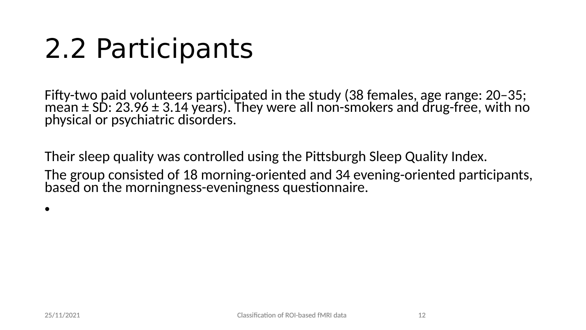### 2.2 Participants

Fifty-two paid volunteers participated in the study (38 females, age range: 20–35; mean ± SD: 23.96 ± 3.14 years). They were all non-smokers and drug-free, with no physical or psychiatric disorders.

Their sleep quality was controlled using the Pittsburgh Sleep Quality Index.

The group consisted of 18 morning-oriented and 34 evening-oriented participants, based on the morningness-eveningness questionnaire.

•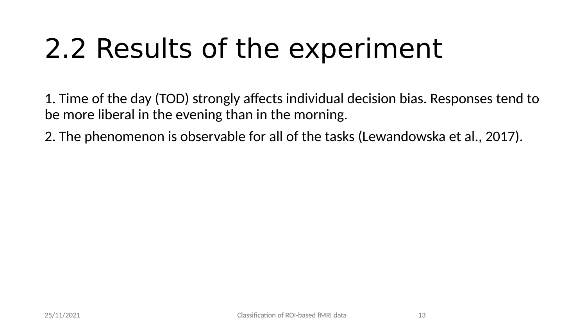# 2.2 Results of the experiment

1. Time of the day (TOD) strongly affects individual decision bias. Responses tend to be more liberal in the evening than in the morning.

2. The phenomenon is observable for all of the tasks (Lewandowska et al., 2017).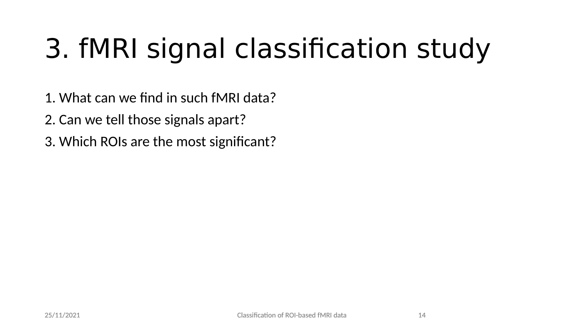# 3. fMRI signal classification study

- 1. What can we find in such fMRI data?
- 2. Can we tell those signals apart?
- 3. Which ROIs are the most significant?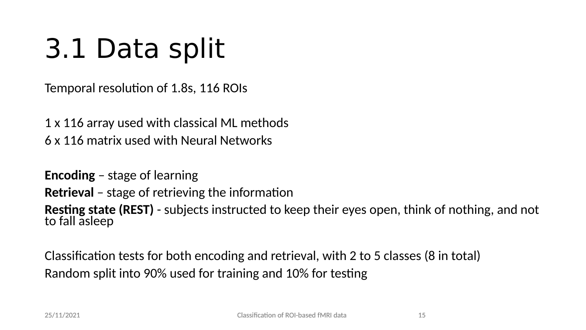# 3.1 Data split

Temporal resolution of 1.8s, 116 ROIs

1 x 116 array used with classical ML methods 6 x 116 matrix used with Neural Networks

**Encoding** – stage of learning **Retrieval** – stage of retrieving the information **Resting state (REST)** - subjects instructed to keep their eyes open, think of nothing, and not to fall asleep

Classification tests for both encoding and retrieval, with 2 to 5 classes (8 in total) Random split into 90% used for training and 10% for testing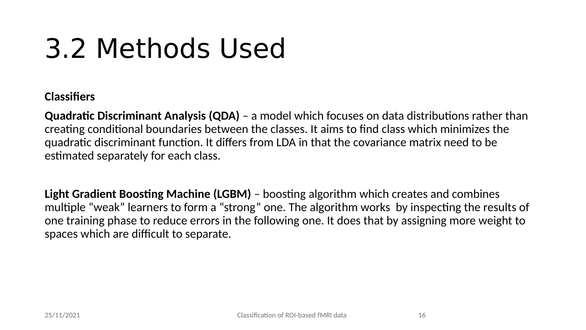### 3.2 Methods Used

#### **Classifiers**

**Quadratic Discriminant Analysis (QDA)** – a model which focuses on data distributions rather than creating conditional boundaries between the classes. It aims to find class which minimizes the quadratic discriminant function. It differs from LDA in that the covariance matrix need to be estimated separately for each class.

**Light Gradient Boosting Machine (LGBM)** – boosting algorithm which creates and combines multiple "weak" learners to form a "strong" one. The algorithm works by inspecting the results of one training phase to reduce errors in the following one. It does that by assigning more weight to spaces which are difficult to separate.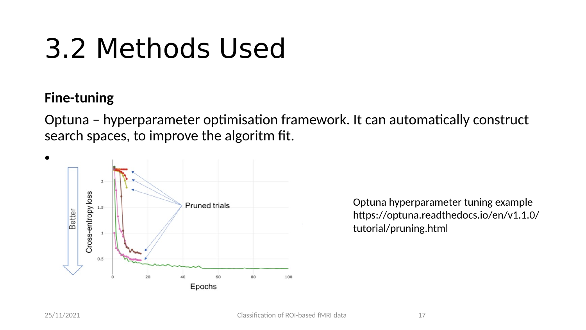### 3.2 Methods Used

#### **Fine-tuning**

Optuna – hyperparameter optimisation framework. It can automatically construct search spaces, to improve the algoritm fit.



Optuna hyperparameter tuning example https://optuna.readthedocs.io/en/v1.1.0/ tutorial/pruning.html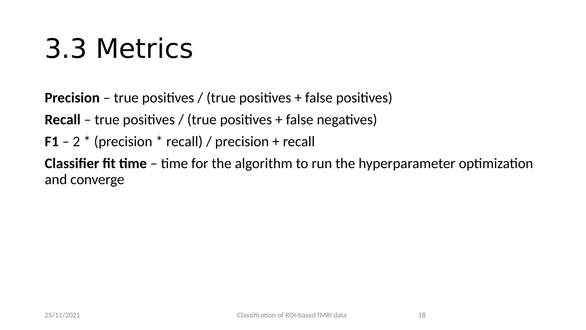### 3.3 Metrics

**Precision** – true positives / (true positives + false positives)

**Recall** – true positives / (true positives + false negatives)

**F1** – 2 \* (precision \* recall) / precision + recall

**Classifier fit time** – time for the algorithm to run the hyperparameter optimization and converge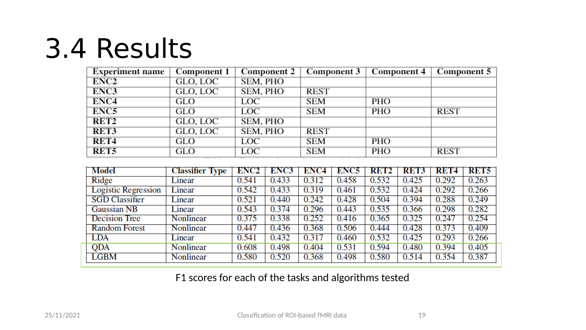### 3.4 Results

| <b>Experiment name</b> | <b>Component 1</b>  | Component 2 |            | Component 3   Component 4 | Component 5 |  |
|------------------------|---------------------|-------------|------------|---------------------------|-------------|--|
| ENC2                   | GLO, LOC            | SEM, PHO    |            |                           |             |  |
| ENC3                   | GLO, LOC            | SEM, PHO    | REST       |                           |             |  |
| ENC <sub>4</sub>       | GLO                 | LOC         | SEM        | PHO                       |             |  |
| ENC <sub>5</sub>       | GLO                 | LOC         | <b>SEM</b> | <b>PHO</b>                | <b>REST</b> |  |
| RET <sub>2</sub>       | GLO, LOC            | SEM, PHO    |            |                           |             |  |
| RET3                   | GLO, LOC            | SEM, PHO    | REST       |                           |             |  |
| RET <sub>4</sub>       | GLO                 | LOC         | SEM        | PHO                       |             |  |
| RET <sub>5</sub>       | <b>GLO</b><br>_____ | LOC         | <b>SEM</b> | <b>PHO</b>                | <b>REST</b> |  |

| Model                      | <b>Classifier Type</b> | ENC2  | ENC3  | ENC4  | ENC5  | RET2  | <b>RET3</b> 1 | - RET4 | RET5  |
|----------------------------|------------------------|-------|-------|-------|-------|-------|---------------|--------|-------|
| Ridge                      | Linear                 | 0.541 | 0.433 | 0.312 | 0.458 | 0.532 | 0.425         | 0.292  | 0.263 |
| <b>Logistic Regression</b> | Linear                 | 0.542 | 0.433 | 0.319 | 0.461 | 0.532 | 0.424         | 0.292  | 0.266 |
| <b>SGD Classifier</b>      | Linear                 | 0.521 | 0.440 | 0.242 | 0.428 | 0.504 | 0.394         | 0.288  | 0.249 |
| <b>Gaussian NB</b>         | Linear                 | 0.543 | 0.374 | 0.296 | 0.443 | 0.535 | 0.366         | 0.298  | 0.282 |
| Decision Tree              | Nonlinear              | 0.375 | 0.338 | 0.252 | 0.416 | 0.365 | 0.325         | 0.247  | 0.254 |
| <b>Random Forest</b>       | Nonlinear              | 0.447 | 0.436 | 0.368 | 0.506 | 0.444 | 0.428         | 0.373  | 0.409 |
| <b>LDA</b>                 | Linear                 | 0.541 | 0.432 | 0.317 | 0.460 | 0.532 | 0.425         | 0.293  | 0.266 |
| <b>QDA</b>                 | Nonlinear              | 0.608 | 0.498 | 0.404 | 0.531 | 0.594 | 0.480         | 0.394  | 0.405 |
| <b>LGBM</b>                | Nonlinear              | 0.580 | 0.520 | 0.368 | 0.498 | 0.580 | 0.514         | 0.354  | 0.387 |

F1 scores for each of the tasks and algorithms tested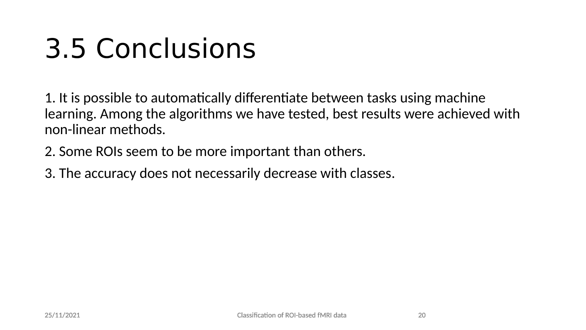### 3.5 Conclusions

1. It is possible to automatically differentiate between tasks using machine learning. Among the algorithms we have tested, best results were achieved with non-linear methods.

- 2. Some ROIs seem to be more important than others.
- 3. The accuracy does not necessarily decrease with classes.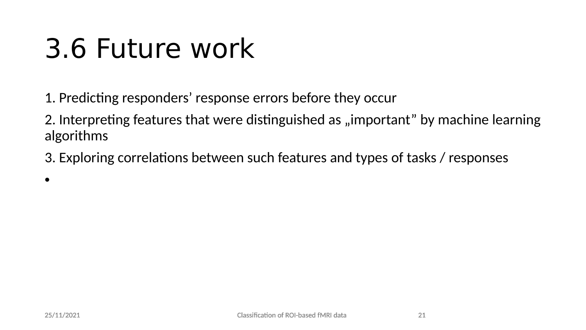#### 3.6 Future work

1. Predicting responders' response errors before they occur

2. Interpreting features that were distinguished as "important" by machine learning algorithms

3. Exploring correlations between such features and types of tasks / responses

•